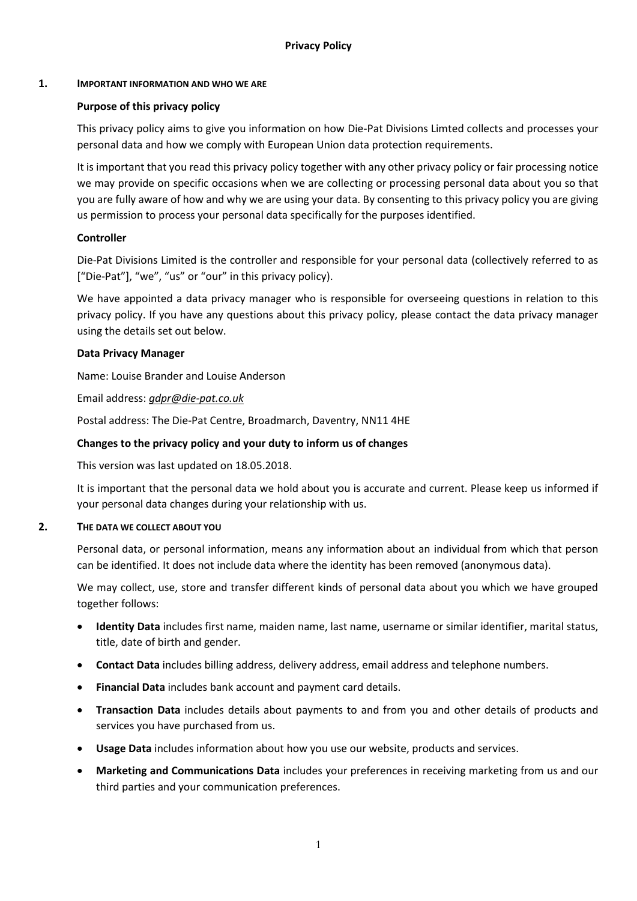## **1. IMPORTANT INFORMATION AND WHO WE ARE**

# **Purpose of this privacy policy**

This privacy policy aims to give you information on how Die-Pat Divisions Limted collects and processes your personal data and how we comply with European Union data protection requirements.

It is important that you read this privacy policy together with any other privacy policy or fair processing notice we may provide on specific occasions when we are collecting or processing personal data about you so that you are fully aware of how and why we are using your data. By consenting to this privacy policy you are giving us permission to process your personal data specifically for the purposes identified.

## **Controller**

Die-Pat Divisions Limited is the controller and responsible for your personal data (collectively referred to as ["Die-Pat"], "we", "us" or "our" in this privacy policy).

We have appointed a data privacy manager who is responsible for overseeing questions in relation to this privacy policy. If you have any questions about this privacy policy, please contact the data privacy manager using the details set out below.

## **Data Privacy Manager**

Name: Louise Brander and Louise Anderson

Email address: *[gdpr@die-pat.co.uk](mailto:gdpr@die-pat.co.uk)*

Postal address: The Die-Pat Centre, Broadmarch, Daventry, NN11 4HE

## **Changes to the privacy policy and your duty to inform us of changes**

This version was last updated on 18.05.2018.

It is important that the personal data we hold about you is accurate and current. Please keep us informed if your personal data changes during your relationship with us.

#### **2. THE DATA WE COLLECT ABOUT YOU**

Personal data, or personal information, means any information about an individual from which that person can be identified. It does not include data where the identity has been removed (anonymous data).

We may collect, use, store and transfer different kinds of personal data about you which we have grouped together follows:

- **Identity Data** includes first name, maiden name, last name, username or similar identifier, marital status, title, date of birth and gender.
- **Contact Data** includes billing address, delivery address, email address and telephone numbers.
- **Financial Data** includes bank account and payment card details.
- **Transaction Data** includes details about payments to and from you and other details of products and services you have purchased from us.
- **Usage Data** includes information about how you use our website, products and services.
- **Marketing and Communications Data** includes your preferences in receiving marketing from us and our third parties and your communication preferences.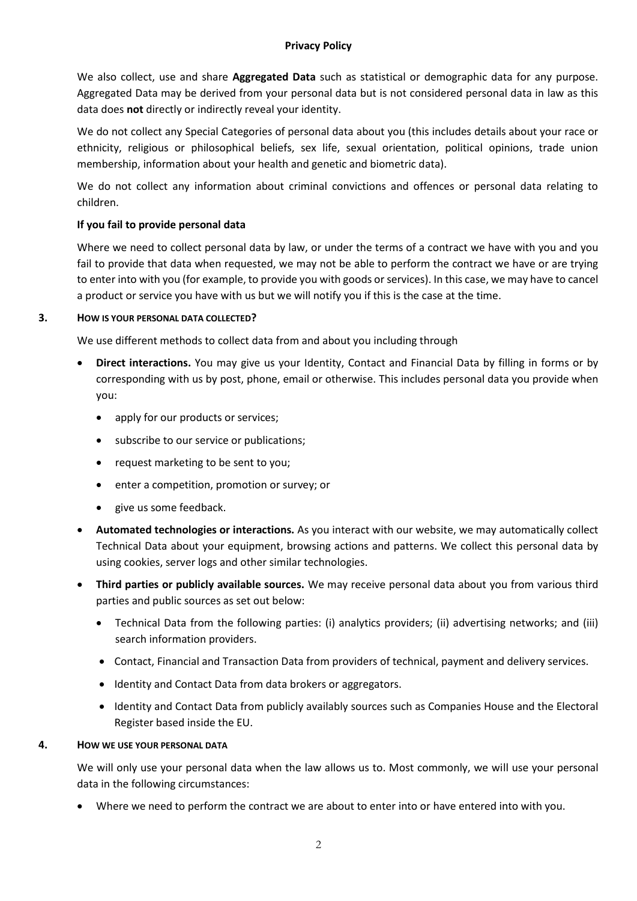#### **Privacy Policy**

We also collect, use and share **Aggregated Data** such as statistical or demographic data for any purpose. Aggregated Data may be derived from your personal data but is not considered personal data in law as this data does **not** directly or indirectly reveal your identity.

We do not collect any Special Categories of personal data about you (this includes details about your race or ethnicity, religious or philosophical beliefs, sex life, sexual orientation, political opinions, trade union membership, information about your health and genetic and biometric data).

We do not collect any information about criminal convictions and offences or personal data relating to children.

# **If you fail to provide personal data**

Where we need to collect personal data by law, or under the terms of a contract we have with you and you fail to provide that data when requested, we may not be able to perform the contract we have or are trying to enter into with you (for example, to provide you with goods or services). In this case, we may have to cancel a product or service you have with us but we will notify you if this is the case at the time.

## **3. HOW IS YOUR PERSONAL DATA COLLECTED?**

We use different methods to collect data from and about you including through

- **Direct interactions.** You may give us your Identity, Contact and Financial Data by filling in forms or by corresponding with us by post, phone, email or otherwise. This includes personal data you provide when you:
	- apply for our products or services;
	- subscribe to our service or publications;
	- request marketing to be sent to you;
	- enter a competition, promotion or survey; or
	- give us some feedback.
- **Automated technologies or interactions.** As you interact with our website, we may automatically collect Technical Data about your equipment, browsing actions and patterns. We collect this personal data by using cookies, server logs and other similar technologies.
- **Third parties or publicly available sources.** We may receive personal data about you from various third parties and public sources as set out below:
	- Technical Data from the following parties: (i) analytics providers; (ii) advertising networks; and (iii) search information providers.
	- Contact, Financial and Transaction Data from providers of technical, payment and delivery services.
	- Identity and Contact Data from data brokers or aggregators.
	- Identity and Contact Data from publicly availably sources such as Companies House and the Electoral Register based inside the EU.

#### **4. HOW WE USE YOUR PERSONAL DATA**

We will only use your personal data when the law allows us to. Most commonly, we will use your personal data in the following circumstances:

• Where we need to perform the contract we are about to enter into or have entered into with you.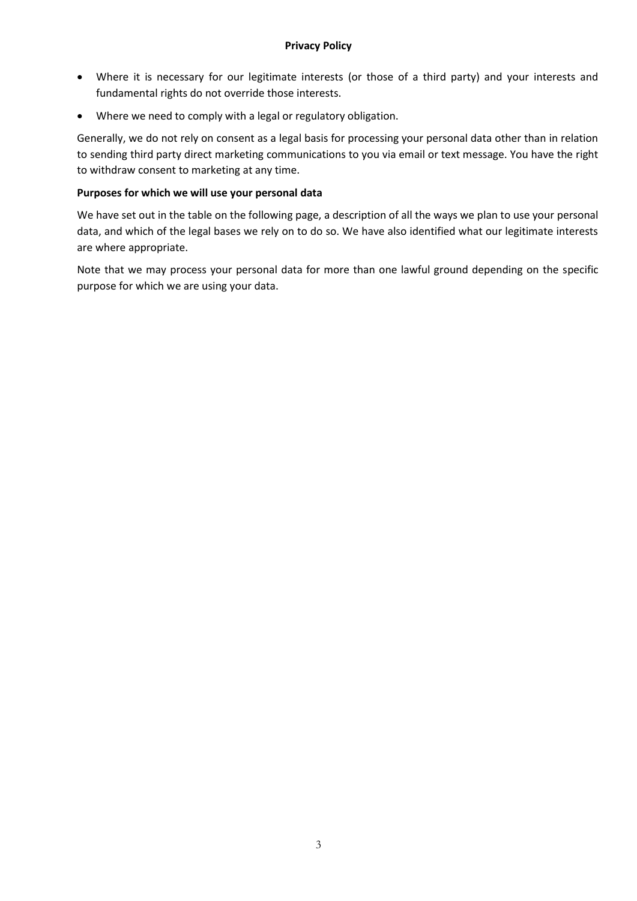- Where it is necessary for our legitimate interests (or those of a third party) and your interests and fundamental rights do not override those interests.
- Where we need to comply with a legal or regulatory obligation.

Generally, we do not rely on consent as a legal basis for processing your personal data other than in relation to sending third party direct marketing communications to you via email or text message. You have the right to withdraw consent to marketing at any time.

# **Purposes for which we will use your personal data**

We have set out in the table on the following page, a description of all the ways we plan to use your personal data, and which of the legal bases we rely on to do so. We have also identified what our legitimate interests are where appropriate.

Note that we may process your personal data for more than one lawful ground depending on the specific purpose for which we are using your data.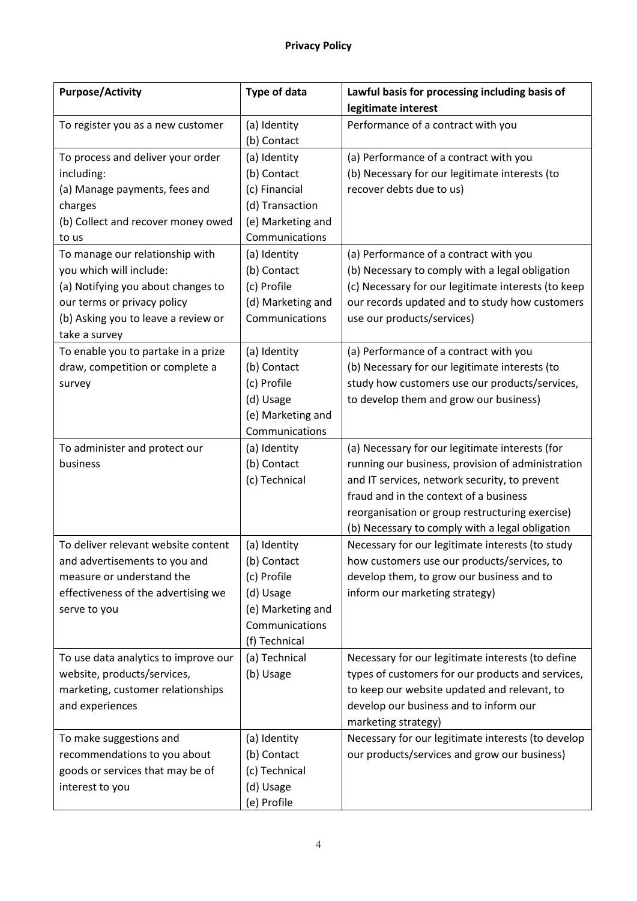| <b>Purpose/Activity</b>                                 | Type of data      | Lawful basis for processing including basis of                            |
|---------------------------------------------------------|-------------------|---------------------------------------------------------------------------|
|                                                         |                   | legitimate interest                                                       |
| To register you as a new customer                       | (a) Identity      | Performance of a contract with you                                        |
|                                                         | (b) Contact       |                                                                           |
| To process and deliver your order                       | (a) Identity      | (a) Performance of a contract with you                                    |
| including:                                              | (b) Contact       | (b) Necessary for our legitimate interests (to                            |
| (a) Manage payments, fees and                           | (c) Financial     | recover debts due to us)                                                  |
| charges                                                 | (d) Transaction   |                                                                           |
| (b) Collect and recover money owed                      | (e) Marketing and |                                                                           |
| to us                                                   | Communications    |                                                                           |
| To manage our relationship with                         | (a) Identity      | (a) Performance of a contract with you                                    |
| you which will include:                                 | (b) Contact       | (b) Necessary to comply with a legal obligation                           |
| (a) Notifying you about changes to                      | (c) Profile       | (c) Necessary for our legitimate interests (to keep                       |
| our terms or privacy policy                             | (d) Marketing and | our records updated and to study how customers                            |
| (b) Asking you to leave a review or                     | Communications    | use our products/services)                                                |
| take a survey                                           |                   |                                                                           |
| To enable you to partake in a prize                     | (a) Identity      | (a) Performance of a contract with you                                    |
| draw, competition or complete a                         | (b) Contact       | (b) Necessary for our legitimate interests (to                            |
| survey                                                  | (c) Profile       | study how customers use our products/services,                            |
|                                                         | (d) Usage         | to develop them and grow our business)                                    |
|                                                         | (e) Marketing and |                                                                           |
|                                                         | Communications    |                                                                           |
| To administer and protect our                           | (a) Identity      | (a) Necessary for our legitimate interests (for                           |
| business                                                | (b) Contact       | running our business, provision of administration                         |
|                                                         | (c) Technical     | and IT services, network security, to prevent                             |
|                                                         |                   | fraud and in the context of a business                                    |
|                                                         |                   | reorganisation or group restructuring exercise)                           |
|                                                         |                   | (b) Necessary to comply with a legal obligation                           |
| To deliver relevant website content                     | (a) Identity      | Necessary for our legitimate interests (to study                          |
| and advertisements to you and                           | (b) Contact       | how customers use our products/services, to                               |
| measure or understand the                               | (c) Profile       | develop them, to grow our business and to                                 |
| effectiveness of the advertising we                     | (d) Usage         | inform our marketing strategy)                                            |
| serve to you                                            | (e) Marketing and |                                                                           |
|                                                         | Communications    |                                                                           |
|                                                         | (f) Technical     |                                                                           |
| To use data analytics to improve our                    | (a) Technical     | Necessary for our legitimate interests (to define                         |
| website, products/services,                             | (b) Usage         | types of customers for our products and services,                         |
| marketing, customer relationships                       |                   | to keep our website updated and relevant, to                              |
| and experiences                                         |                   | develop our business and to inform our                                    |
|                                                         | (a) Identity      | marketing strategy)<br>Necessary for our legitimate interests (to develop |
| To make suggestions and<br>recommendations to you about | (b) Contact       | our products/services and grow our business)                              |
| goods or services that may be of                        | (c) Technical     |                                                                           |
| interest to you                                         | (d) Usage         |                                                                           |
|                                                         | (e) Profile       |                                                                           |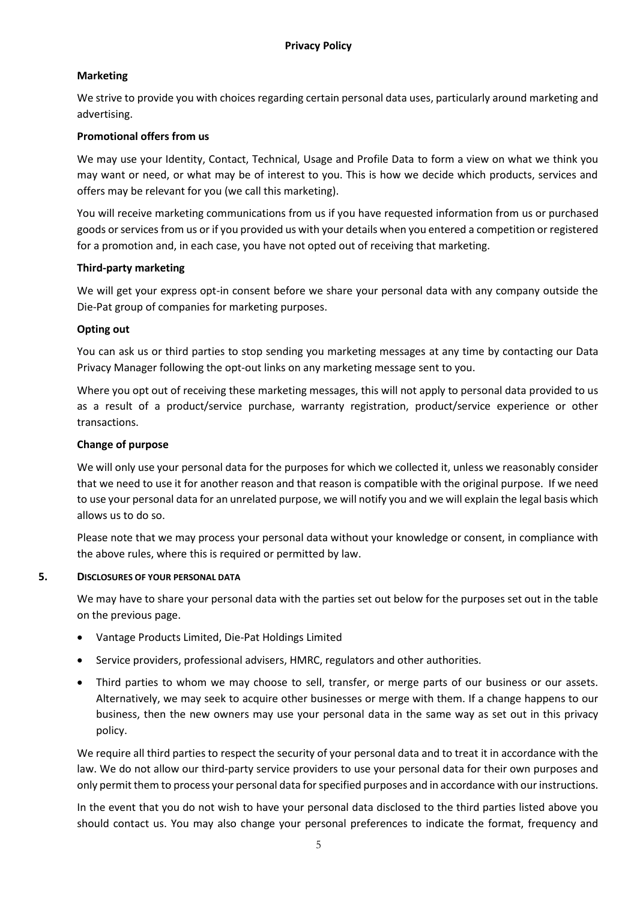# **Marketing**

We strive to provide you with choices regarding certain personal data uses, particularly around marketing and advertising.

# **Promotional offers from us**

We may use your Identity, Contact, Technical, Usage and Profile Data to form a view on what we think you may want or need, or what may be of interest to you. This is how we decide which products, services and offers may be relevant for you (we call this marketing).

You will receive marketing communications from us if you have requested information from us or purchased goods or services from us or if you provided us with your details when you entered a competition or registered for a promotion and, in each case, you have not opted out of receiving that marketing.

## **Third-party marketing**

We will get your express opt-in consent before we share your personal data with any company outside the Die-Pat group of companies for marketing purposes.

## **Opting out**

You can ask us or third parties to stop sending you marketing messages at any time by contacting our Data Privacy Manager following the opt-out links on any marketing message sent to you.

Where you opt out of receiving these marketing messages, this will not apply to personal data provided to us as a result of a product/service purchase, warranty registration, product/service experience or other transactions.

## **Change of purpose**

We will only use your personal data for the purposes for which we collected it, unless we reasonably consider that we need to use it for another reason and that reason is compatible with the original purpose. If we need to use your personal data for an unrelated purpose, we will notify you and we will explain the legal basis which allows us to do so.

Please note that we may process your personal data without your knowledge or consent, in compliance with the above rules, where this is required or permitted by law.

#### **5. DISCLOSURES OF YOUR PERSONAL DATA**

We may have to share your personal data with the parties set out below for the purposes set out in the table on the previous page.

- Vantage Products Limited, Die-Pat Holdings Limited
- Service providers, professional advisers, HMRC, regulators and other authorities.
- Third parties to whom we may choose to sell, transfer, or merge parts of our business or our assets. Alternatively, we may seek to acquire other businesses or merge with them. If a change happens to our business, then the new owners may use your personal data in the same way as set out in this privacy policy.

We require all third parties to respect the security of your personal data and to treat it in accordance with the law. We do not allow our third-party service providers to use your personal data for their own purposes and only permit them to process your personal data for specified purposes and in accordance with our instructions.

In the event that you do not wish to have your personal data disclosed to the third parties listed above you should contact us. You may also change your personal preferences to indicate the format, frequency and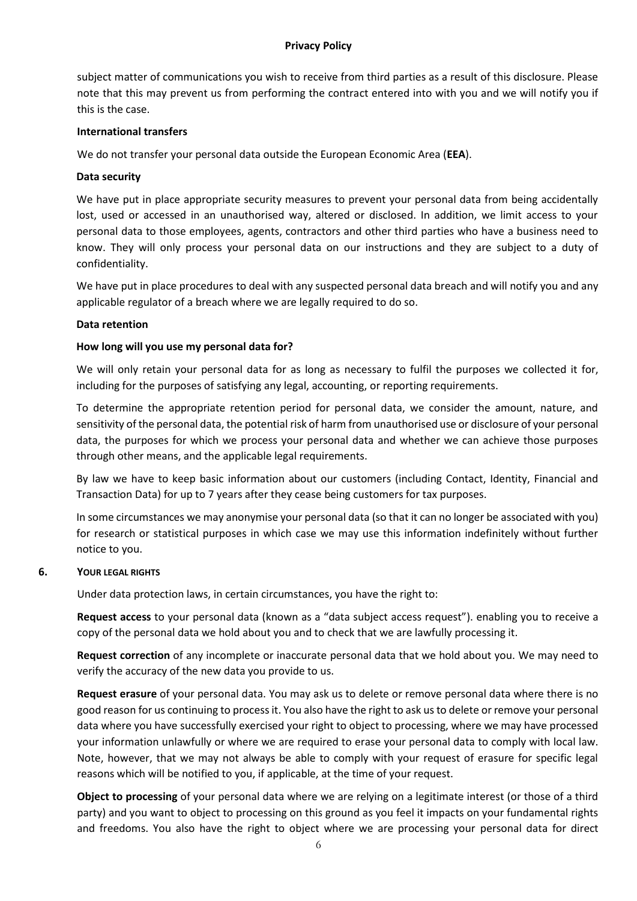#### **Privacy Policy**

subject matter of communications you wish to receive from third parties as a result of this disclosure. Please note that this may prevent us from performing the contract entered into with you and we will notify you if this is the case.

#### **International transfers**

We do not transfer your personal data outside the European Economic Area (**EEA**).

## **Data security**

We have put in place appropriate security measures to prevent your personal data from being accidentally lost, used or accessed in an unauthorised way, altered or disclosed. In addition, we limit access to your personal data to those employees, agents, contractors and other third parties who have a business need to know. They will only process your personal data on our instructions and they are subject to a duty of confidentiality.

We have put in place procedures to deal with any suspected personal data breach and will notify you and any applicable regulator of a breach where we are legally required to do so.

## **Data retention**

## **How long will you use my personal data for?**

We will only retain your personal data for as long as necessary to fulfil the purposes we collected it for, including for the purposes of satisfying any legal, accounting, or reporting requirements.

To determine the appropriate retention period for personal data, we consider the amount, nature, and sensitivity of the personal data, the potential risk of harm from unauthorised use or disclosure of your personal data, the purposes for which we process your personal data and whether we can achieve those purposes through other means, and the applicable legal requirements.

By law we have to keep basic information about our customers (including Contact, Identity, Financial and Transaction Data) for up to 7 years after they cease being customers for tax purposes.

In some circumstances we may anonymise your personal data (so that it can no longer be associated with you) for research or statistical purposes in which case we may use this information indefinitely without further notice to you.

#### **6. YOUR LEGAL RIGHTS**

Under data protection laws, in certain circumstances, you have the right to:

**Request access** to your personal data (known as a "data subject access request"). enabling you to receive a copy of the personal data we hold about you and to check that we are lawfully processing it.

**Request correction** of any incomplete or inaccurate personal data that we hold about you. We may need to verify the accuracy of the new data you provide to us.

**Request erasure** of your personal data. You may ask us to delete or remove personal data where there is no good reason for us continuing to process it. You also have the right to ask us to delete or remove your personal data where you have successfully exercised your right to object to processing, where we may have processed your information unlawfully or where we are required to erase your personal data to comply with local law. Note, however, that we may not always be able to comply with your request of erasure for specific legal reasons which will be notified to you, if applicable, at the time of your request.

**Object to processing** of your personal data where we are relying on a legitimate interest (or those of a third party) and you want to object to processing on this ground as you feel it impacts on your fundamental rights and freedoms. You also have the right to object where we are processing your personal data for direct